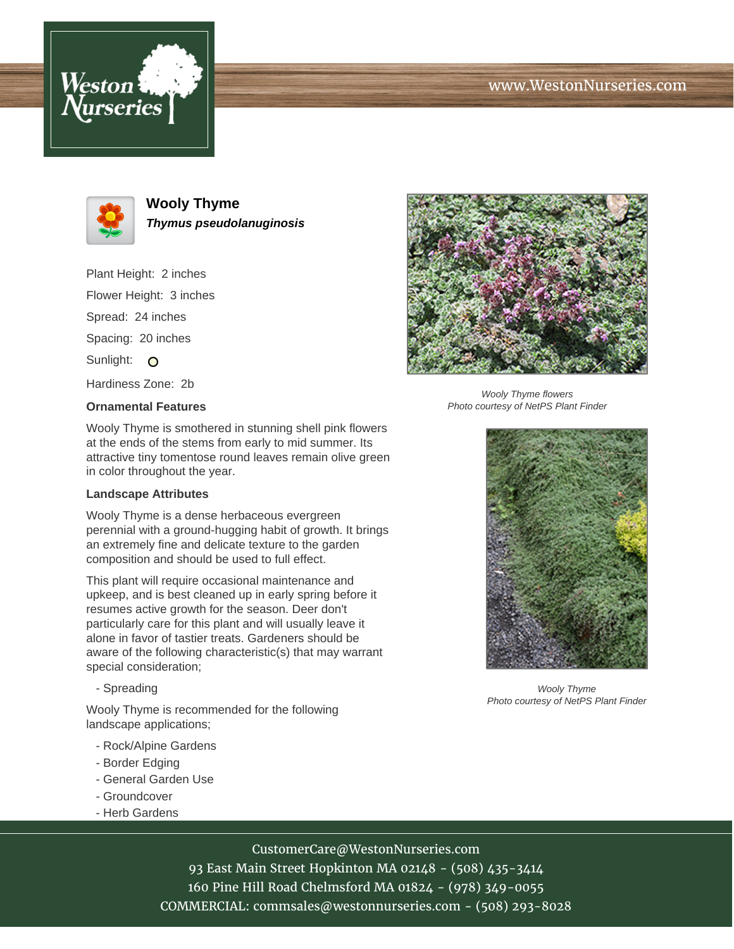





**Wooly Thyme Thymus pseudolanuginosis**

Plant Height: 2 inches Flower Height: 3 inches Spread: 24 inches Spacing: 20 inches Sunlight: O Hardiness Zone: 2b

## **Ornamental Features**



Wooly Thyme flowers Photo courtesy of NetPS Plant Finder

Wooly Thyme is smothered in stunning shell pink flowers at the ends of the stems from early to mid summer. Its attractive tiny tomentose round leaves remain olive green in color throughout the year.

## **Landscape Attributes**

Wooly Thyme is a dense herbaceous evergreen perennial with a ground-hugging habit of growth. It brings an extremely fine and delicate texture to the garden composition and should be used to full effect.

This plant will require occasional maintenance and upkeep, and is best cleaned up in early spring before it resumes active growth for the season. Deer don't particularly care for this plant and will usually leave it alone in favor of tastier treats. Gardeners should be aware of the following characteristic(s) that may warrant special consideration;

- Spreading

Wooly Thyme is recommended for the following landscape applications;

- Rock/Alpine Gardens
- Border Edging
- General Garden Use
- Groundcover
- Herb Gardens

## CustomerCare@WestonNurseries.com

93 East Main Street Hopkinton MA 02148 - (508) 435-3414 160 Pine Hill Road Chelmsford MA 01824 - (978) 349-0055 COMMERCIAL: commsales@westonnurseries.com - (508) 293-8028



Wooly Thyme Photo courtesy of NetPS Plant Finder